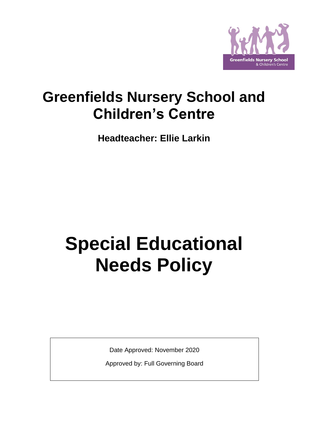

# **Greenfields Nursery School and Children's Centre**

**Headteacher: Ellie Larkin**

# **Special Educational Needs Policy**

Date Approved: November 2020

Approved by: Full Governing Board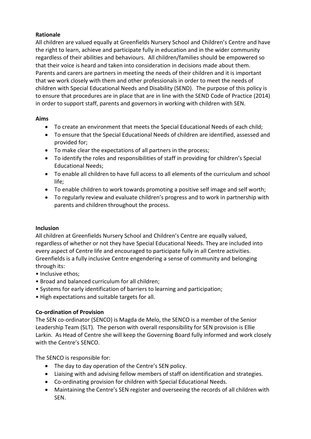# **Rationale**

All children are valued equally at Greenfields Nursery School and Children's Centre and have the right to learn, achieve and participate fully in education and in the wider community regardless of their abilities and behaviours. All children/families should be empowered so that their voice is heard and taken into consideration in decisions made about them. Parents and carers are partners in meeting the needs of their children and it is important that we work closely with them and other professionals in order to meet the needs of children with Special Educational Needs and Disability (SEND). The purpose of this policy is to ensure that procedures are in place that are in line with the SEND Code of Practice (2014) in order to support staff, parents and governors in working with children with SEN.

#### **Aims**

- To create an environment that meets the Special Educational Needs of each child;
- To ensure that the Special Educational Needs of children are identified, assessed and provided for;
- To make clear the expectations of all partners in the process;
- To identify the roles and responsibilities of staff in providing for children's Special Educational Needs;
- To enable all children to have full access to all elements of the curriculum and school life;
- To enable children to work towards promoting a positive self image and self worth;
- To regularly review and evaluate children's progress and to work in partnership with parents and children throughout the process.

# **Inclusion**

All children at Greenfields Nursery School and Children's Centre are equally valued, regardless of whether or not they have Special Educational Needs. They are included into every aspect of Centre life and encouraged to participate fully in all Centre activities. Greenfields is a fully inclusive Centre engendering a sense of community and belonging through its:

- Inclusive ethos;
- Broad and balanced curriculum for all children;
- Systems for early identification of barriers to learning and participation;
- High expectations and suitable targets for all.

# **Co-ordination of Provision**

The SEN co-ordinator (SENCO) is Magda de Melo, the SENCO is a member of the Senior Leadership Team (SLT). The person with overall responsibility for SEN provision is Ellie Larkin. As Head of Centre she will keep the Governing Board fully informed and work closely with the Centre's SENCO.

The SENCO is responsible for:

- The day to day operation of the Centre's SEN policy.
- Liaising with and advising fellow members of staff on identification and strategies.
- Co-ordinating provision for children with Special Educational Needs.
- Maintaining the Centre's SEN register and overseeing the records of all children with SEN.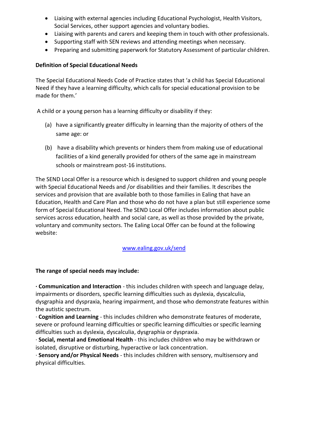- Liaising with external agencies including Educational Psychologist, Health Visitors, Social Services, other support agencies and voluntary bodies.
- Liaising with parents and carers and keeping them in touch with other professionals.
- Supporting staff with SEN reviews and attending meetings when necessary.
- Preparing and submitting paperwork for Statutory Assessment of particular children.

# **Definition of Special Educational Needs**

The Special Educational Needs Code of Practice states that 'a child has Special Educational Need if they have a learning difficulty, which calls for special educational provision to be made for them.'

A child or a young person has a learning difficulty or disability if they:

- (a) have a significantly greater difficulty in learning than the majority of others of the same age: or
- (b) have a disability which prevents or hinders them from making use of educational facilities of a kind generally provided for others of the same age in mainstream schools or mainstream post-16 institutions.

The SEND Local Offer is a resource which is designed to support children and young people with Special Educational Needs and /or disabilities and their families. It describes the services and provision that are available both to those families in Ealing that have an Education, Health and Care Plan and those who do not have a plan but still experience some form of Special Educational Need. The SEND Local Offer includes information about public services across education, health and social care, as well as those provided by the private, voluntary and community sectors. The Ealing Local Offer can be found at the following website:

[www.ealing.gov.uk/send](http://www.ealing.gov.uk/send)

#### **The range of special needs may include:**

**· Communication and Interaction** - this includes children with speech and language delay, impairments or disorders, specific learning difficulties such as dyslexia, dyscalculia, dysgraphia and dyspraxia, hearing impairment, and those who demonstrate features within the autistic spectrum.

· **Cognition and Learning** - this includes children who demonstrate features of moderate, severe or profound learning difficulties or specific learning difficulties or specific learning difficulties such as dyslexia, dyscalculia, dysgraphia or dyspraxia.

· **Social, mental and Emotional Health** - this includes children who may be withdrawn or isolated, disruptive or disturbing, hyperactive or lack concentration.

· **Sensory and/or Physical Needs** - this includes children with sensory, multisensory and physical difficulties.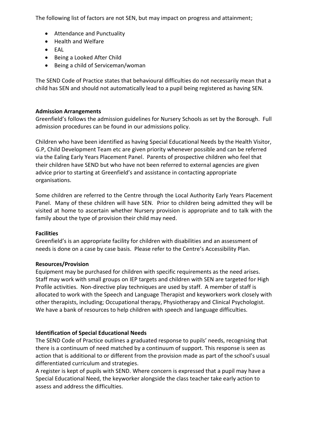The following list of factors are not SEN, but may impact on progress and attainment;

- Attendance and Punctuality
- Health and Welfare
- EAL
- Being a Looked After Child
- Being a child of Serviceman/woman

The SEND Code of Practice states that behavioural difficulties do not necessarily mean that a child has SEN and should not automatically lead to a pupil being registered as having SEN.

#### **Admission Arrangements**

Greenfield's follows the admission guidelines for Nursery Schools as set by the Borough. Full admission procedures can be found in our admissions policy.

Children who have been identified as having Special Educational Needs by the Health Visitor, G.P, Child Development Team etc are given priority whenever possible and can be referred via the Ealing Early Years Placement Panel. Parents of prospective children who feel that their children have SEND but who have not been referred to external agencies are given advice prior to starting at Greenfield's and assistance in contacting appropriate organisations.

Some children are referred to the Centre through the Local Authority Early Years Placement Panel. Many of these children will have SEN. Prior to children being admitted they will be visited at home to ascertain whether Nursery provision is appropriate and to talk with the family about the type of provision their child may need.

#### **Facilities**

Greenfield's is an appropriate facility for children with disabilities and an assessment of needs is done on a case by case basis. Please refer to the Centre's Accessibility Plan.

#### **Resources/Provision**

Equipment may be purchased for children with specific requirements as the need arises. Staff may work with small groups on IEP targets and children with SEN are targeted for High Profile activities. Non-directive play techniques are used by staff. A member of staff is allocated to work with the Speech and Language Therapist and keyworkers work closely with other therapists, including; Occupational therapy, Physiotherapy and Clinical Psychologist. We have a bank of resources to help children with speech and language difficulties.

#### **Identification of Special Educational Needs**

The SEND Code of Practice outlines a graduated response to pupils' needs, recognising that there is a continuum of need matched by a continuum of support. This response is seen as action that is additional to or different from the provision made as part of the school's usual differentiated curriculum and strategies.

A register is kept of pupils with SEND. Where concern is expressed that a pupil may have a Special Educational Need, the keyworker alongside the class teacher take early action to assess and address the difficulties.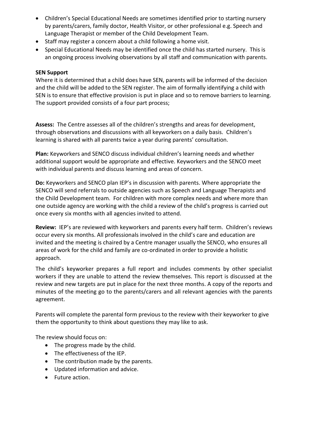- Children's Special Educational Needs are sometimes identified prior to starting nursery by parents/carers, family doctor, Health Visitor, or other professional e.g. Speech and Language Therapist or member of the Child Development Team.
- Staff may register a concern about a child following a home visit.
- Special Educational Needs may be identified once the child has started nursery. This is an ongoing process involving observations by all staff and communication with parents.

#### **SEN Support**

Where it is determined that a child does have SEN, parents will be informed of the decision and the child will be added to the SEN register. The aim of formally identifying a child with SEN is to ensure that effective provision is put in place and so to remove barriers to learning. The support provided consists of a four part process;

**Assess:** The Centre assesses all of the children's strengths and areas for development, through observations and discussions with all keyworkers on a daily basis. Children's learning is shared with all parents twice a year during parents' consultation.

**Plan:** Keyworkers and SENCO discuss individual children's learning needs and whether additional support would be appropriate and effective. Keyworkers and the SENCO meet with individual parents and discuss learning and areas of concern.

**Do:** Keyworkers and SENCO plan IEP's in discussion with parents. Where appropriate the SENCO will send referrals to outside agencies such as Speech and Language Therapists and the Child Development team. For children with more complex needs and where more than one outside agency are working with the child a review of the child's progress is carried out once every six months with all agencies invited to attend.

**Review:** IEP's are reviewed with keyworkers and parents every half term. Children's reviews occur every six months. All professionals involved in the child's care and education are invited and the meeting is chaired by a Centre manager usually the SENCO, who ensures all areas of work for the child and family are co-ordinated in order to provide a holistic approach.

The child's keyworker prepares a full report and includes comments by other specialist workers if they are unable to attend the review themselves. This report is discussed at the review and new targets are put in place for the next three months. A copy of the reports and minutes of the meeting go to the parents/carers and all relevant agencies with the parents agreement.

Parents will complete the parental form previous to the review with their keyworker to give them the opportunity to think about questions they may like to ask.

The review should focus on:

- The progress made by the child.
- The effectiveness of the IEP.
- The contribution made by the parents.
- Updated information and advice.
- Future action.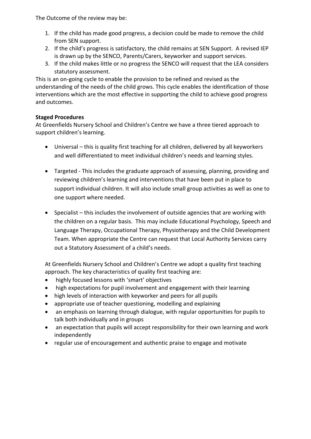The Outcome of the review may be:

- 1. If the child has made good progress, a decision could be made to remove the child from SEN support.
- 2. If the child's progress is satisfactory, the child remains at SEN Support. A revised IEP is drawn up by the SENCO, Parents/Carers, keyworker and support services.
- 3. If the child makes little or no progress the SENCO will request that the LEA considers statutory assessment.

This is an on-going cycle to enable the provision to be refined and revised as the understanding of the needs of the child grows. This cycle enables the identification of those interventions which are the most effective in supporting the child to achieve good progress and outcomes.

# **Staged Procedures**

At Greenfields Nursery School and Children's Centre we have a three tiered approach to support children's learning.

- Universal this is quality first teaching for all children, delivered by all keyworkers and well differentiated to meet individual children's needs and learning styles.
- Targeted This includes the graduate approach of assessing, planning, providing and reviewing children's learning and interventions that have been put in place to support individual children. It will also include small group activities as well as one to one support where needed.
- Specialist this includes the involvement of outside agencies that are working with the children on a regular basis. This may include Educational Psychology, Speech and Language Therapy, Occupational Therapy, Physiotherapy and the Child Development Team. When appropriate the Centre can request that Local Authority Services carry out a Statutory Assessment of a child's needs.

At Greenfields Nursery School and Children's Centre we adopt a quality first teaching approach. The key characteristics of quality first teaching are:

- highly focused lessons with 'smart' objectives
- high expectations for pupil involvement and engagement with their learning
- high levels of interaction with keyworker and peers for all pupils
- appropriate use of teacher questioning, modelling and explaining
- an emphasis on learning through dialogue, with regular opportunities for pupils to talk both individually and in groups
- an expectation that pupils will accept responsibility for their own learning and work independently
- regular use of encouragement and authentic praise to engage and motivate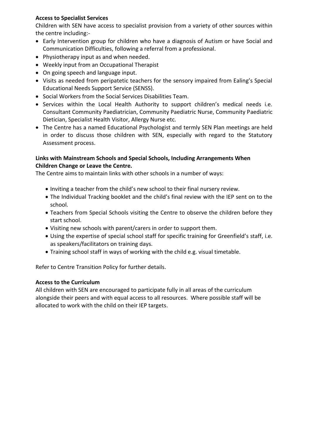# **Access to Specialist Services**

Children with SEN have access to specialist provision from a variety of other sources within the centre including:-

- Early Intervention group for children who have a diagnosis of Autism or have Social and Communication Difficulties, following a referral from a professional.
- Physiotherapy input as and when needed.
- Weekly input from an Occupational Therapist
- On going speech and language input.
- Visits as needed from peripatetic teachers for the sensory impaired from Ealing's Special Educational Needs Support Service (SENSS).
- Social Workers from the Social Services Disabilities Team.
- Services within the Local Health Authority to support children's medical needs i.e. Consultant Community Paediatrician, Community Paediatric Nurse, Community Paediatric Dietician, Specialist Health Visitor, Allergy Nurse etc.
- The Centre has a named Educational Psychologist and termly SEN Plan meetings are held in order to discuss those children with SEN, especially with regard to the Statutory Assessment process.

# **Links with Mainstream Schools and Special Schools, Including Arrangements When Children Change or Leave the Centre.**

The Centre aims to maintain links with other schools in a number of ways:

- Inviting a teacher from the child's new school to their final nursery review.
- The Individual Tracking booklet and the child's final review with the IEP sent on to the school.
- Teachers from Special Schools visiting the Centre to observe the children before they start school.
- Visiting new schools with parent/carers in order to support them.
- Using the expertise of special school staff for specific training for Greenfield's staff, i.e. as speakers/facilitators on training days.
- Training school staff in ways of working with the child e.g. visual timetable.

Refer to Centre Transition Policy for further details.

# **Access to the Curriculum**

All children with SEN are encouraged to participate fully in all areas of the curriculum alongside their peers and with equal access to all resources. Where possible staff will be allocated to work with the child on their IEP targets.